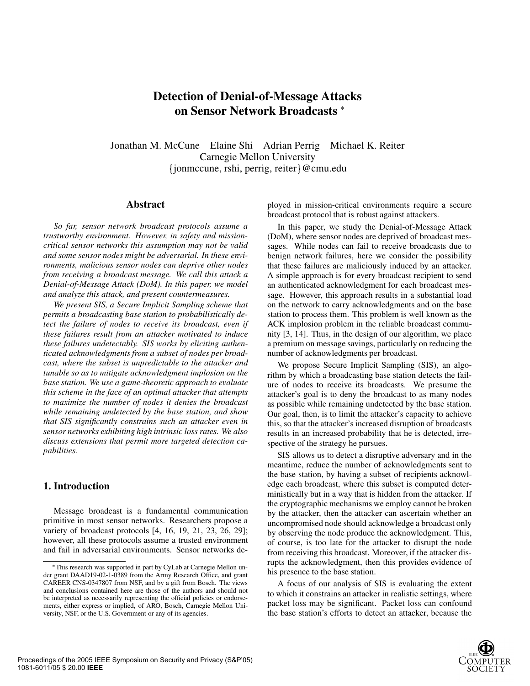# **Detection of Denial-of-Message Attacks on Sensor Network Broadcasts** <sup>∗</sup>

Jonathan M. McCune Elaine Shi Adrian Perrig Michael K. Reiter Carnegie Mellon University {jonmccune, rshi, perrig, reiter}@cmu.edu

# **Abstract**

*So far, sensor network broadcast protocols assume a trustworthy environment. However, in safety and missioncritical sensor networks this assumption may not be valid and some sensor nodes might be adversarial. In these environments, malicious sensor nodes can deprive other nodes from receiving a broadcast message. We call this attack a Denial-of-Message Attack (DoM). In this paper, we model and analyze this attack, and present countermeasures.*

*We present SIS, a Secure Implicit Sampling scheme that permits a broadcasting base station to probabilistically detect the failure of nodes to receive its broadcast, even if these failures result from an attacker motivated to induce these failures undetectably. SIS works by eliciting authenticated acknowledgments from a subset of nodes per broadcast, where the subset is unpredictable to the attacker and tunable so as to mitigate acknowledgment implosion on the base station. We use a game-theoretic approach to evaluate this scheme in the face of an optimal attacker that attempts to maximize the number of nodes it denies the broadcast while remaining undetected by the base station, and show that SIS significantly constrains such an attacker even in sensor networks exhibiting high intrinsic loss rates. We also discuss extensions that permit more targeted detection capabilities.*

## **1. Introduction**

Message broadcast is a fundamental communication primitive in most sensor networks. Researchers propose a variety of broadcast protocols [4, 16, 19, 21, 23, 26, 29]; however, all these protocols assume a trusted environment and fail in adversarial environments. Sensor networks deployed in mission-critical environments require a secure broadcast protocol that is robust against attackers.

In this paper, we study the Denial-of-Message Attack (DoM), where sensor nodes are deprived of broadcast messages. While nodes can fail to receive broadcasts due to benign network failures, here we consider the possibility that these failures are maliciously induced by an attacker. A simple approach is for every broadcast recipient to send an authenticated acknowledgment for each broadcast message. However, this approach results in a substantial load on the network to carry acknowledgments and on the base station to process them. This problem is well known as the ACK implosion problem in the reliable broadcast community [3, 14]. Thus, in the design of our algorithm, we place a premium on message savings, particularly on reducing the number of acknowledgments per broadcast.

We propose Secure Implicit Sampling (SIS), an algorithm by which a broadcasting base station detects the failure of nodes to receive its broadcasts. We presume the attacker's goal is to deny the broadcast to as many nodes as possible while remaining undetected by the base station. Our goal, then, is to limit the attacker's capacity to achieve this, so that the attacker's increased disruption of broadcasts results in an increased probability that he is detected, irrespective of the strategy he pursues.

SIS allows us to detect a disruptive adversary and in the meantime, reduce the number of acknowledgments sent to the base station, by having a subset of recipients acknowledge each broadcast, where this subset is computed deterministically but in a way that is hidden from the attacker. If the cryptographic mechanisms we employ cannot be broken by the attacker, then the attacker can ascertain whether an uncompromised node should acknowledge a broadcast only by observing the node produce the acknowledgment. This, of course, is too late for the attacker to disrupt the node from receiving this broadcast. Moreover, if the attacker disrupts the acknowledgment, then this provides evidence of his presence to the base station.

A focus of our analysis of SIS is evaluating the extent to which it constrains an attacker in realistic settings, where packet loss may be significant. Packet loss can confound the base station's efforts to detect an attacker, because the

<sup>∗</sup>This research was supported in part by CyLab at Carnegie Mellon under grant DAAD19-02-1-0389 from the Army Research Office, and grant CAREER CNS-0347807 from NSF, and by a gift from Bosch. The views and conclusions contained here are those of the authors and should not be interpreted as necessarily representing the official policies or endorsements, either express or implied, of ARO, Bosch, Carnegie Mellon University, NSF, or the U.S. Government or any of its agencies.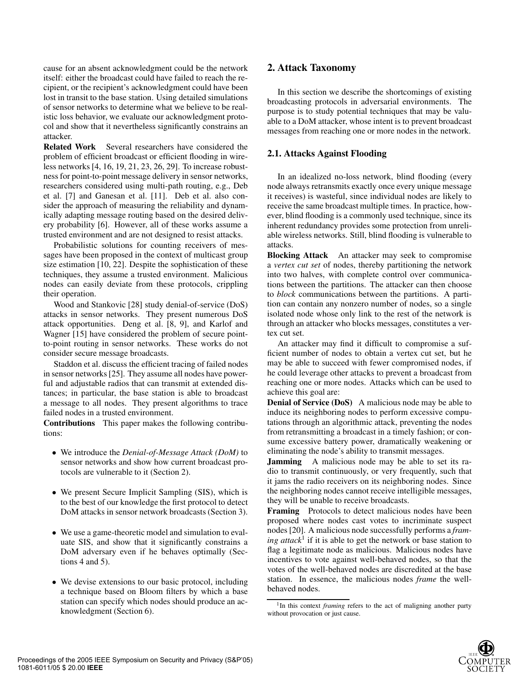cause for an absent acknowledgment could be the network itself: either the broadcast could have failed to reach the recipient, or the recipient's acknowledgment could have been lost in transit to the base station. Using detailed simulations of sensor networks to determine what we believe to be realistic loss behavior, we evaluate our acknowledgment protocol and show that it nevertheless significantly constrains an attacker.

**Related Work** Several researchers have considered the problem of efficient broadcast or efficient flooding in wireless networks [4, 16, 19, 21, 23, 26, 29]. To increase robustness for point-to-point message delivery in sensor networks, researchers considered using multi-path routing, e.g., Deb et al. [7] and Ganesan et al. [11]. Deb et al. also consider the approach of measuring the reliability and dynamically adapting message routing based on the desired delivery probability [6]. However, all of these works assume a trusted environment and are not designed to resist attacks.

Probabilistic solutions for counting receivers of messages have been proposed in the context of multicast group size estimation [10, 22]. Despite the sophistication of these techniques, they assume a trusted environment. Malicious nodes can easily deviate from these protocols, crippling their operation.

Wood and Stankovic [28] study denial-of-service (DoS) attacks in sensor networks. They present numerous DoS attack opportunities. Deng et al. [8, 9], and Karlof and Wagner [15] have considered the problem of secure pointto-point routing in sensor networks. These works do not consider secure message broadcasts.

Staddon et al. discuss the efficient tracing of failed nodes in sensor networks [25]. They assume all nodes have powerful and adjustable radios that can transmit at extended distances; in particular, the base station is able to broadcast a message to all nodes. They present algorithms to trace failed nodes in a trusted environment.

**Contributions** This paper makes the following contributions:

- We introduce the *Denial-of-Message Attack (DoM)* to sensor networks and show how current broadcast protocols are vulnerable to it (Section 2).
- We present Secure Implicit Sampling (SIS), which is to the best of our knowledge the first protocol to detect DoM attacks in sensor network broadcasts (Section 3).
- We use a game-theoretic model and simulation to evaluate SIS, and show that it significantly constrains a DoM adversary even if he behaves optimally (Sections 4 and 5).
- We devise extensions to our basic protocol, including a technique based on Bloom filters by which a base station can specify which nodes should produce an acknowledgment (Section 6).

# **2. Attack Taxonomy**

In this section we describe the shortcomings of existing broadcasting protocols in adversarial environments. The purpose is to study potential techniques that may be valuable to a DoM attacker, whose intent is to prevent broadcast messages from reaching one or more nodes in the network.

# **2.1. Attacks Against Flooding**

In an idealized no-loss network, blind flooding (every node always retransmits exactly once every unique message it receives) is wasteful, since individual nodes are likely to receive the same broadcast multiple times. In practice, however, blind flooding is a commonly used technique, since its inherent redundancy provides some protection from unreliable wireless networks. Still, blind flooding is vulnerable to attacks.

**Blocking Attack** An attacker may seek to compromise a *vertex cut set* of nodes, thereby partitioning the network into two halves, with complete control over communications between the partitions. The attacker can then choose to *block* communications between the partitions. A partition can contain any nonzero number of nodes, so a single isolated node whose only link to the rest of the network is through an attacker who blocks messages, constitutes a vertex cut set.

An attacker may find it difficult to compromise a sufficient number of nodes to obtain a vertex cut set, but he may be able to succeed with fewer compromised nodes, if he could leverage other attacks to prevent a broadcast from reaching one or more nodes. Attacks which can be used to achieve this goal are:

**Denial of Service (DoS)** A malicious node may be able to induce its neighboring nodes to perform excessive computations through an algorithmic attack, preventing the nodes from retransmitting a broadcast in a timely fashion; or consume excessive battery power, dramatically weakening or eliminating the node's ability to transmit messages.

**Jamming** A malicious node may be able to set its radio to transmit continuously, or very frequently, such that it jams the radio receivers on its neighboring nodes. Since the neighboring nodes cannot receive intelligible messages, they will be unable to receive broadcasts.

**Framing** Protocols to detect malicious nodes have been proposed where nodes cast votes to incriminate suspect nodes [20]. A malicious node successfully performs a *framing attack*<sup>1</sup> if it is able to get the network or base station to flag a legitimate node as malicious. Malicious nodes have incentives to vote against well-behaved nodes, so that the votes of the well-behaved nodes are discredited at the base station. In essence, the malicious nodes *frame* the wellbehaved nodes.

<sup>&</sup>lt;sup>1</sup>In this context *framing* refers to the act of maligning another party without provocation or just cause.

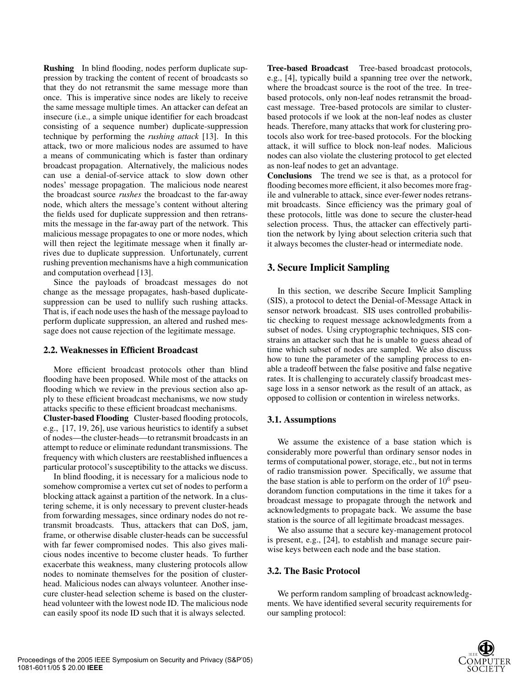**Rushing** In blind flooding, nodes perform duplicate suppression by tracking the content of recent of broadcasts so that they do not retransmit the same message more than once. This is imperative since nodes are likely to receive the same message multiple times. An attacker can defeat an insecure (i.e., a simple unique identifier for each broadcast consisting of a sequence number) duplicate-suppression technique by performing the *rushing attack* [13]. In this attack, two or more malicious nodes are assumed to have a means of communicating which is faster than ordinary broadcast propagation. Alternatively, the malicious nodes can use a denial-of-service attack to slow down other nodes' message propagation. The malicious node nearest the broadcast source *rushes* the broadcast to the far-away node, which alters the message's content without altering the fields used for duplicate suppression and then retransmits the message in the far-away part of the network. This malicious message propagates to one or more nodes, which will then reject the legitimate message when it finally arrives due to duplicate suppression. Unfortunately, current rushing prevention mechanisms have a high communication and computation overhead [13].

Since the payloads of broadcast messages do not change as the message propagates, hash-based duplicatesuppression can be used to nullify such rushing attacks. That is, if each node uses the hash of the message payload to perform duplicate suppression, an altered and rushed message does not cause rejection of the legitimate message.

#### **2.2. Weaknesses in Efficient Broadcast**

More efficient broadcast protocols other than blind flooding have been proposed. While most of the attacks on flooding which we review in the previous section also apply to these efficient broadcast mechanisms, we now study attacks specific to these efficient broadcast mechanisms.

**Cluster-based Flooding** Cluster-based flooding protocols, e.g., [17, 19, 26], use various heuristics to identify a subset of nodes—the cluster-heads—to retransmit broadcasts in an attempt to reduce or eliminate redundant transmissions. The frequency with which clusters are reestablished influences a particular protocol's susceptibility to the attacks we discuss.

In blind flooding, it is necessary for a malicious node to somehow compromise a vertex cut set of nodes to perform a blocking attack against a partition of the network. In a clustering scheme, it is only necessary to prevent cluster-heads from forwarding messages, since ordinary nodes do not retransmit broadcasts. Thus, attackers that can DoS, jam, frame, or otherwise disable cluster-heads can be successful with far fewer compromised nodes. This also gives malicious nodes incentive to become cluster heads. To further exacerbate this weakness, many clustering protocols allow nodes to nominate themselves for the position of clusterhead. Malicious nodes can always volunteer. Another insecure cluster-head selection scheme is based on the clusterhead volunteer with the lowest node ID. The malicious node can easily spoof its node ID such that it is always selected.

**Tree-based Broadcast** Tree-based broadcast protocols, e.g., [4], typically build a spanning tree over the network, where the broadcast source is the root of the tree. In treebased protocols, only non-leaf nodes retransmit the broadcast message. Tree-based protocols are similar to clusterbased protocols if we look at the non-leaf nodes as cluster heads. Therefore, many attacks that work for clustering protocols also work for tree-based protocols. For the blocking attack, it will suffice to block non-leaf nodes. Malicious nodes can also violate the clustering protocol to get elected as non-leaf nodes to get an advantage.

**Conclusions** The trend we see is that, as a protocol for flooding becomes more efficient, it also becomes more fragile and vulnerable to attack, since ever-fewer nodes retransmit broadcasts. Since efficiency was the primary goal of these protocols, little was done to secure the cluster-head selection process. Thus, the attacker can effectively partition the network by lying about selection criteria such that it always becomes the cluster-head or intermediate node.

# **3. Secure Implicit Sampling**

In this section, we describe Secure Implicit Sampling (SIS), a protocol to detect the Denial-of-Message Attack in sensor network broadcast. SIS uses controlled probabilistic checking to request message acknowledgments from a subset of nodes. Using cryptographic techniques, SIS constrains an attacker such that he is unable to guess ahead of time which subset of nodes are sampled. We also discuss how to tune the parameter of the sampling process to enable a tradeoff between the false positive and false negative rates. It is challenging to accurately classify broadcast message loss in a sensor network as the result of an attack, as opposed to collision or contention in wireless networks.

# **3.1. Assumptions**

We assume the existence of a base station which is considerably more powerful than ordinary sensor nodes in terms of computational power, storage, etc., but not in terms of radio transmission power. Specifically, we assume that the base station is able to perform on the order of  $10^6$  pseudorandom function computations in the time it takes for a broadcast message to propagate through the network and acknowledgments to propagate back. We assume the base station is the source of all legitimate broadcast messages.

We also assume that a secure key-management protocol is present, e.g., [24], to establish and manage secure pairwise keys between each node and the base station.

## **3.2. The Basic Protocol**

We perform random sampling of broadcast acknowledgments. We have identified several security requirements for our sampling protocol: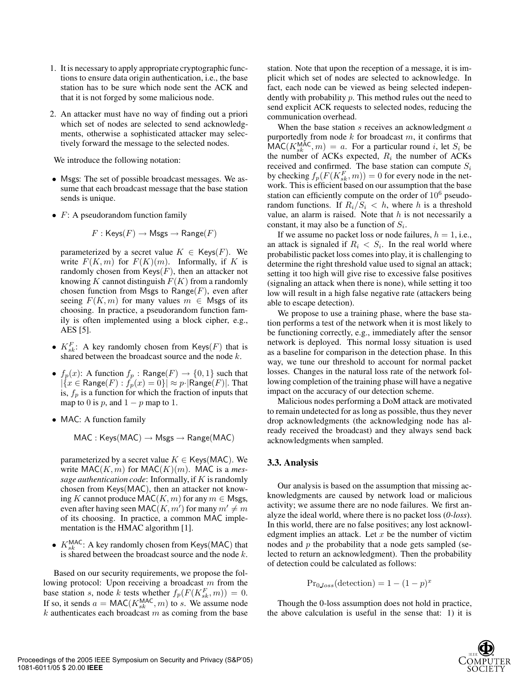- 1. It is necessary to apply appropriate cryptographic functions to ensure data origin authentication, i.e., the base station has to be sure which node sent the ACK and that it is not forged by some malicious node.
- 2. An attacker must have no way of finding out a priori which set of nodes are selected to send acknowledgments, otherwise a sophisticated attacker may selectively forward the message to the selected nodes.

We introduce the following notation:

- Msgs: The set of possible broadcast messages. We assume that each broadcast message that the base station sends is unique.
- $F: A$  pseudorandom function family

$$
F: \mathsf{Keys}(F) \to \mathsf{Msgs} \to \mathsf{Range}(F)
$$

parameterized by a secret value  $K \in \text{Keys}(F)$ . We write  $F(K, m)$  for  $F(K)(m)$ . Informally, if K is randomly chosen from  $Keys(F)$ , then an attacker not knowing K cannot distinguish  $F(K)$  from a randomly chosen function from Msgs to Range $(F)$ , even after seeing  $F(K, m)$  for many values  $m \in M$ sgs of its choosing. In practice, a pseudorandom function family is often implemented using a block cipher, e.g., AES [5].

- $K_{sk}^F$ : A key randomly chosen from Keys(F) that is<br>shared between the broadcast source and the node k shared between the broadcast source and the node  $k$ .
- $f_p(x)$ : A function  $f_p$ : Range $(F) \rightarrow \{0, 1\}$  such that  $|\{x \in \text{Range}(F) : f_p(x)=0\}| \approx p \cdot |\text{Range}(F)|$ . That is,  $f_p$  is a function for which the fraction of inputs that map to 0 is p, and  $1 - p$  map to 1.
- MAC: A function family

$$
\mathsf{MAC}: \mathsf{Keys}(\mathsf{MAC}) \to \mathsf{Msgs} \to \mathsf{Range}(\mathsf{MAC})
$$

parameterized by a secret value  $K \in \text{Kevs}(\text{MAC})$ . We write  $MAC(K, m)$  for  $MAC(K)(m)$ . MAC is a *message authentication code*: Informally, if K is randomly chosen from Keys(MAC), then an attacker not knowing K cannot produce MAC(K, m) for any  $m \in M$ sgs, even after having seen  $MAC(K, m')$  for many  $m' \neq m$ <br>of its choosing Theoractice a common MAC impleof its choosing. In practice, a common MAC implementation is the HMAC algorithm [1].

•  $K_{sk}^{MAC}$ : A key randomly chosen from Keys(MAC) that is shared between the broadcast source and the node k.

Based on our security requirements, we propose the following protocol: Upon receiving a broadcast m from the base station s, node k tests whether  $f_p(F(K_{sk}^F, m)) = 0$ . If so, it sends  $a = \text{MAC}(K_{sk}^{\text{MAC}}, m)$  to s. We assume node<br>k authenticates each broadcast m as coming from the base  $k$  authenticates each broadcast  $m$  as coming from the base station. Note that upon the reception of a message, it is implicit which set of nodes are selected to acknowledge. In fact, each node can be viewed as being selected independently with probability  $p$ . This method rules out the need to send explicit ACK requests to selected nodes, reducing the communication overhead.

When the base station  $s$  receives an acknowledgment  $a$ purportedly from node  $k$  for broadcast  $m$ , it confirms that  $\widehat{\text{MAC}}(K_{sk}^{MAC}, m) = a$ . For a particular round i, let  $S_i$  be the number of ACKs expected  $R_i$  the number of ACKs the number of ACKs expected,  $R_i$  the number of ACKs received and confirmed. The base station can compute  $S_i$ by checking  $f_p(F(K_{sk}^F, m)) = 0$  for every node in the network. This is efficient based on our assumption that the base station can efficiently compute on the order of  $10^6$  pseudorandom functions. If  $R_i/S_i < h$ , where h is a threshold value, an alarm is raised. Note that  $h$  is not necessarily a constant, it may also be a function of  $S_i$ .

If we assume no packet loss or node failures,  $h = 1$ , i.e., an attack is signaled if  $R_i < S_i$ . In the real world where probabilistic packet loss comes into play, it is challenging to determine the right threshold value used to signal an attack; setting it too high will give rise to excessive false positives (signaling an attack when there is none), while setting it too low will result in a high false negative rate (attackers being able to escape detection).

We propose to use a training phase, where the base station performs a test of the network when it is most likely to be functioning correctly, e.g., immediately after the sensor network is deployed. This normal lossy situation is used as a baseline for comparison in the detection phase. In this way, we tune our threshold to account for normal packet losses. Changes in the natural loss rate of the network following completion of the training phase will have a negative impact on the accuracy of our detection scheme.

Malicious nodes performing a DoM attack are motivated to remain undetected for as long as possible, thus they never drop acknowledgments (the acknowledging node has already received the broadcast) and they always send back acknowledgments when sampled.

#### **3.3. Analysis**

Our analysis is based on the assumption that missing acknowledgments are caused by network load or malicious activity; we assume there are no node failures. We first analyze the ideal world, where there is no packet loss (*0-loss*). In this world, there are no false positives; any lost acknowledgment implies an attack. Let  $x$  be the number of victim nodes and  $p$  the probability that a node gets sampled (selected to return an acknowledgment). Then the probability of detection could be calculated as follows:

$$
\mathrm{Pr}_{0\_loss}(\text{detection}) = 1 - (1 - p)^x
$$

Though the 0-loss assumption does not hold in practice, the above calculation is useful in the sense that: 1) it is

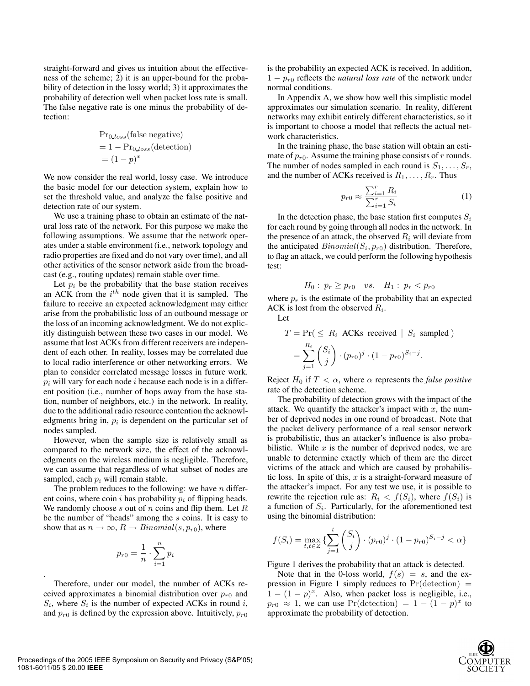straight-forward and gives us intuition about the effectiveness of the scheme; 2) it is an upper-bound for the probability of detection in the lossy world; 3) it approximates the probability of detection well when packet loss rate is small. The false negative rate is one minus the probability of detection:

$$
Pr0_loss(false negative)
$$
  
= 1 - Pr<sub>0Loss</sub>(detection)  
= (1 - p)<sup>x</sup>

We now consider the real world, lossy case. We introduce the basic model for our detection system, explain how to set the threshold value, and analyze the false positive and detection rate of our system.

We use a training phase to obtain an estimate of the natural loss rate of the network. For this purpose we make the following assumptions. We assume that the network operates under a stable environment (i.e., network topology and radio properties are fixed and do not vary over time), and all other activities of the sensor network aside from the broadcast (e.g., routing updates) remain stable over time.

Let  $p_i$  be the probability that the base station receives an ACK from the  $i^{th}$  node given that it is sampled. The failure to receive an expected acknowledgment may either arise from the probabilistic loss of an outbound message or the loss of an incoming acknowledgment. We do not explicitly distinguish between these two cases in our model. We assume that lost ACKs from different receivers are independent of each other. In reality, losses may be correlated due to local radio interference or other networking errors. We plan to consider correlated message losses in future work.  $p_i$  will vary for each node i because each node is in a different position (i.e., number of hops away from the base station, number of neighbors, etc.) in the network. In reality, due to the additional radio resource contention the acknowledgments bring in,  $p_i$  is dependent on the particular set of nodes sampled.

However, when the sample size is relatively small as compared to the network size, the effect of the acknowledgments on the wireless medium is negligible. Therefore, we can assume that regardless of what subset of nodes are sampled, each  $p_i$  will remain stable.

The problem reduces to the following: we have  $n$  different coins, where coin i has probability  $p_i$  of flipping heads. We randomly choose  $s$  out of  $n$  coins and flip them. Let  $R$ be the number of "heads" among the s coins. It is easy to show that as  $n \to \infty$ ,  $R \to Binomial(s, p_{r0})$ , where

$$
p_{r0} = \frac{1}{n} \cdot \sum_{i=1}^{n} p_i
$$

.

Therefore, under our model, the number of ACKs received approximates a binomial distribution over  $p_{r0}$  and  $S_i$ , where  $S_i$  is the number of expected ACKs in round i, and  $p_{r0}$  is defined by the expression above. Intuitively,  $p_{r0}$ 

is the probability an expected ACK is received. In addition, <sup>1</sup> <sup>−</sup> <sup>p</sup>r<sup>0</sup> reflects the *natural loss rate* of the network under normal conditions.

In Appendix A, we show how well this simplistic model approximates our simulation scenario. In reality, different networks may exhibit entirely different characteristics, so it is important to choose a model that reflects the actual network characteristics.

In the training phase, the base station will obtain an estimate of  $p_{r0}$ . Assume the training phase consists of r rounds. The number of nodes sampled in each round is  $S_1, \ldots, S_r$ , and the number of ACKs received is  $R_1, \ldots, R_r$ . Thus

$$
p_{r0} \approx \frac{\sum_{i=1}^{r} R_i}{\sum_{i=1}^{r} S_i}
$$
 (1)

In the detection phase, the base station first computes  $S_i$ for each round by going through all nodes in the network. In the presence of an attack, the observed  $R_i$  will deviate from the anticipated  $Binomial(S_i, p_{r0})$  distribution. Therefore, to flag an attack, we could perform the following hypothesis test:

$$
H_0: p_r \ge p_{r0}
$$
 vs.  $H_1: p_r < p_{r0}$ 

where  $p_r$  is the estimate of the probability that an expected ACK is lost from the observed  $R_i$ .

Let

$$
T = \Pr(\leq R_i \text{ ACKs received } | S_i \text{ sampled})
$$

$$
= \sum_{j=1}^{R_i} {S_i \choose j} \cdot (p_{r0})^j \cdot (1 - p_{r0})^{S_i - j}.
$$

Reject  $H_0$  if  $T < \alpha$ , where  $\alpha$  represents the *false positive* rate of the detection scheme.

The probability of detection grows with the impact of the attack. We quantify the attacker's impact with  $x$ , the number of deprived nodes in one round of broadcast. Note that the packet delivery performance of a real sensor network is probabilistic, thus an attacker's influence is also probabilistic. While  $x$  is the number of deprived nodes, we are unable to determine exactly which of them are the direct victims of the attack and which are caused by probabilistic loss. In spite of this,  $x$  is a straight-forward measure of the attacker's impact. For any test we use, it is possible to rewrite the rejection rule as:  $R_i < f(S_i)$ , where  $f(S_i)$  is a function of  $S_i$ . Particularly, for the aforementioned test using the binomial distribution:

$$
f(S_i) = \max_{t,t \in Z} \left\{ \sum_{j=1}^{t} \binom{S_i}{j} \cdot (p_{r0})^j \cdot (1 - p_{r0})^{S_i - j} < \alpha \right\}
$$

Figure 1 derives the probability that an attack is detected.

Note that in the 0-loss world,  $f(s) = s$ , and the expression in Figure 1 simply reduces to  $Pr(\text{detection})$  =  $1 - (1 - p)^x$ . Also, when packet loss is negligible, i.e.,  $p_{r0} \approx 1$ , we can use Pr(detection) =  $1 - (1 - p)^x$  to approximate the probability of detection.

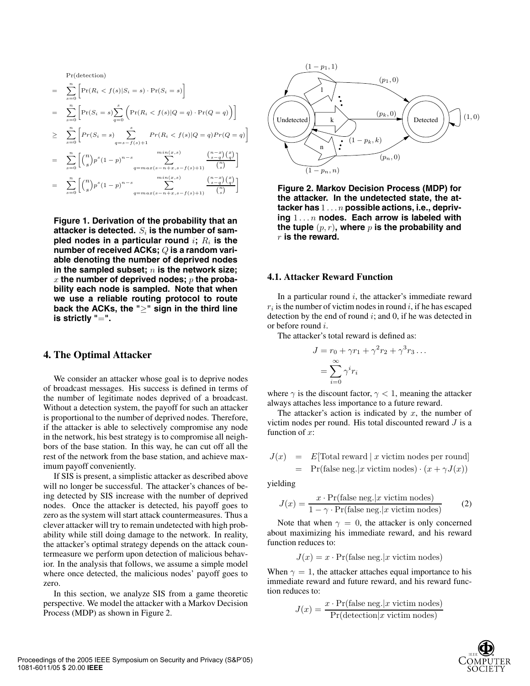Pr(detection)  $=\sum_{n=1}^{\infty}$  $s=0$  $\left[\Pr(R_i < f(s)|S_i = s) \cdot \Pr(S_i = s)\right]$  $=\sum_{n=1}^{\infty}$  $s=0$  $\left[\Pr(S_i = s)\sum^s\right]$  $q=0$  $\left(\Pr(R_i < f(s)|Q = q) \cdot \Pr(Q = q)\right)$  $\geq \sum_{s=0}^n$  $\bigg[Pr(S_i = s)$   $\sum_{i=1}^{s}$  $\sum_{q=s-f(s)+1}^{s} Pr(R_i < f(s) | Q = q) Pr(Q = q)$  $=\sum_{n=1}^{\infty}$  $s=0$  $\binom{n}{s} p^s (1-p)^{n-s}$  min(x,s)  $q=max(s-n+x,s-f(s)+1)$  $\left(^{n-x}_{s-q}\right)\left(^{x}_{q}\right)$  $\binom{n}{s}$ –  $=\sum_{n=1}^{\infty}$  $s=0$  $\binom{n}{s} p^s (1-p)^{n-s}$  min(x,s)  $q=max(s-n+x,s-f(s)+1)$  $\left(\begin{smallmatrix} n-x\ s-q \end{smallmatrix}\right) \left(\begin{smallmatrix} x\ g \end{smallmatrix}\right)$  $\binom{n}{s}$ –

**Figure 1. Derivation of the probability that an** attacker is detected.  $S_i$  is the number of sampled nodes in a particular round  $i$ ;  $R_i$  is the **number of received ACKs;** Q **is a random variable denoting the number of deprived nodes** in the sampled subset; n is the network size; x **the number of deprived nodes;** p **the probability each node is sampled. Note that when we use a reliable routing protocol to route back the ACKs, the "**≥**" sign in the third line is strictly "**=**".**

## **4. The Optimal Attacker**

We consider an attacker whose goal is to deprive nodes of broadcast messages. His success is defined in terms of the number of legitimate nodes deprived of a broadcast. Without a detection system, the payoff for such an attacker is proportional to the number of deprived nodes. Therefore, if the attacker is able to selectively compromise any node in the network, his best strategy is to compromise all neighbors of the base station. In this way, he can cut off all the rest of the network from the base station, and achieve maximum payoff conveniently.

If SIS is present, a simplistic attacker as described above will no longer be successful. The attacker's chances of being detected by SIS increase with the number of deprived nodes. Once the attacker is detected, his payoff goes to zero as the system will start attack countermeasures. Thus a clever attacker will try to remain undetected with high probability while still doing damage to the network. In reality, the attacker's optimal strategy depends on the attack countermeasure we perform upon detection of malicious behavior. In the analysis that follows, we assume a simple model where once detected, the malicious nodes' payoff goes to zero.

In this section, we analyze SIS from a game theoretic perspective. We model the attacker with a Markov Decision Process (MDP) as shown in Figure 2.



**Figure 2. Markov Decision Process (MDP) for the attacker. In the undetected state, the attacker has** 1 ...n **possible actions, i.e., depriving** 1 ...n **nodes. Each arrow is labeled with** the tuple  $(p, r)$ , where  $p$  is the probability and r **is the reward.**

#### **4.1. Attacker Reward Function**

In a particular round  $i$ , the attacker's immediate reward  $r_i$  is the number of victim nodes in round i, if he has escaped detection by the end of round  $i$ ; and 0, if he was detected in or before round i.

The attacker's total reward is defined as:

$$
J = r_0 + \gamma r_1 + \gamma^2 r_2 + \gamma^3 r_3 \dots
$$
  
= 
$$
\sum_{i=0}^{\infty} \gamma^i r_i
$$

where  $\gamma$  is the discount factor,  $\gamma$  < 1, meaning the attacker always attaches less importance to a future reward.

The attacker's action is indicated by  $x$ , the number of victim nodes per round. His total discounted reward  $J$  is a function of  $x$ :

$$
J(x) = E[Total reward | x \text{ victim nodes per round}]
$$
  
= Pr(false neg. |x \text{ victim nodes}) \cdot (x + \gamma J(x))

yielding

$$
J(x) = \frac{x \cdot \Pr(\text{false neg.}|x \text{ victim nodes})}{1 - \gamma \cdot \Pr(\text{false neg.}|x \text{ victim nodes})}
$$
(2)

Note that when  $\gamma = 0$ , the attacker is only concerned about maximizing his immediate reward, and his reward function reduces to:

$$
J(x)=x\cdot\Pr(\text{false neg.}|x\;\text{victim nodes})
$$

When  $\gamma = 1$ , the attacker attaches equal importance to his immediate reward and future reward, and his reward function reduces to:

$$
J(x) = \frac{x \cdot \Pr(\text{false neg.}|x \text{ victim nodes})}{\Pr(\text{detection}|x \text{ victim nodes})}
$$

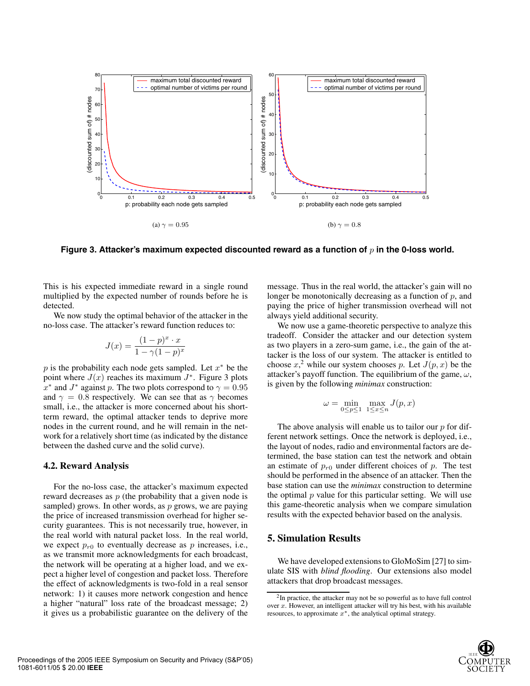

**Figure 3. Attacker's maximum expected discounted reward as a function of** p **in the 0-loss world.**

This is his expected immediate reward in a single round multiplied by the expected number of rounds before he is detected.

We now study the optimal behavior of the attacker in the no-loss case. The attacker's reward function reduces to:

$$
J(x) = \frac{(1-p)^x \cdot x}{1 - \gamma (1-p)^x}
$$

p is the probability each node gets sampled. Let  $x^*$  be the point where  $J(x)$  reaches its maximum  $J^*$ . Figure 3 plots  $x^*$  and  $J^*$  against p. The two plots correspond to  $\gamma = 0.95$ and  $\gamma = 0.8$  respectively. We can see that as  $\gamma$  becomes small, i.e., the attacker is more concerned about his shortterm reward, the optimal attacker tends to deprive more nodes in the current round, and he will remain in the network for a relatively short time (as indicated by the distance between the dashed curve and the solid curve).

#### **4.2. Reward Analysis**

For the no-loss case, the attacker's maximum expected reward decreases as  $p$  (the probability that a given node is sampled) grows. In other words, as  $p$  grows, we are paying the price of increased transmission overhead for higher security guarantees. This is not necessarily true, however, in the real world with natural packet loss. In the real world, we expect  $p_{r0}$  to eventually decrease as p increases, i.e., as we transmit more acknowledgments for each broadcast, the network will be operating at a higher load, and we expect a higher level of congestion and packet loss. Therefore the effect of acknowledgments is two-fold in a real sensor network: 1) it causes more network congestion and hence a higher "natural" loss rate of the broadcast message; 2) it gives us a probabilistic guarantee on the delivery of the message. Thus in the real world, the attacker's gain will no longer be monotonically decreasing as a function of  $p$ , and paying the price of higher transmission overhead will not always yield additional security.

We now use a game-theoretic perspective to analyze this tradeoff. Consider the attacker and our detection system as two players in a zero-sum game, i.e., the gain of the attacker is the loss of our system. The attacker is entitled to choose  $x^2$ , while our system chooses p. Let  $J(p, x)$  be the attacker's payoff function. The equilibrium of the game,  $\omega$ , is given by the following *minimax* construction:

$$
\omega = \min_{0 \le p \le 1} \; \max_{1 \le x \le n} J(p,x)
$$

The above analysis will enable us to tailor our  $p$  for different network settings. Once the network is deployed, i.e., the layout of nodes, radio and environmental factors are determined, the base station can test the network and obtain an estimate of  $p_{r0}$  under different choices of p. The test should be performed in the absence of an attacker. Then the base station can use the *minimax* construction to determine the optimal  $p$  value for this particular setting. We will use this game-theoretic analysis when we compare simulation results with the expected behavior based on the analysis.

# **5. Simulation Results**

We have developed extensions to GloMoSim [27] to simulate SIS with *blind flooding*. Our extensions also model attackers that drop broadcast messages.

<sup>2</sup>In practice, the attacker may not be so powerful as to have full control over  $x$ . However, an intelligent attacker will try his best, with his available resources, to approximate  $x^*$ , the analytical optimal strategy.

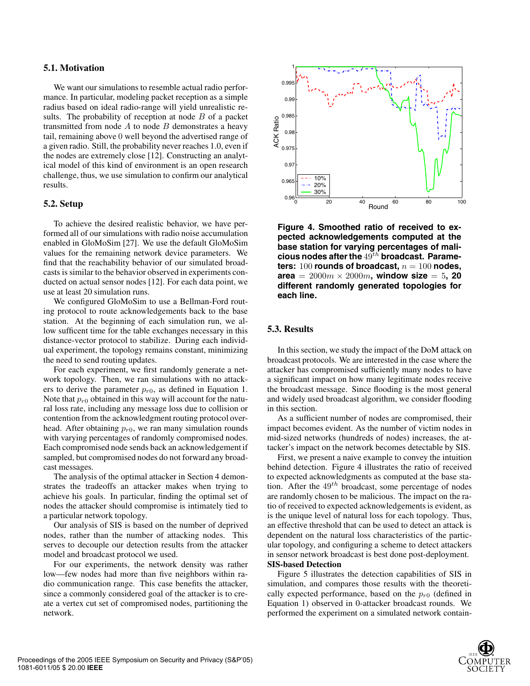#### **5.1. Motivation**

We want our simulations to resemble actual radio performance. In particular, modeling packet reception as a simple radius based on ideal radio-range will yield unrealistic results. The probability of reception at node  $B$  of a packet transmitted from node  $A$  to node  $B$  demonstrates a heavy tail, remaining above 0 well beyond the advertised range of a given radio. Still, the probability never reaches 1.0, even if the nodes are extremely close [12]. Constructing an analytical model of this kind of environment is an open research challenge, thus, we use simulation to confirm our analytical results.

# **5.2. Setup**

To achieve the desired realistic behavior, we have performed all of our simulations with radio noise accumulation enabled in GloMoSim [27]. We use the default GloMoSim values for the remaining network device parameters. We find that the reachability behavior of our simulated broadcasts is similar to the behavior observed in experiments conducted on actual sensor nodes [12]. For each data point, we use at least 20 simulation runs.

We configured GloMoSim to use a Bellman-Ford routing protocol to route acknowledgements back to the base station. At the beginning of each simulation run, we allow sufficent time for the table exchanges necessary in this distance-vector protocol to stabilize. During each individual experiment, the topology remains constant, minimizing the need to send routing updates.

For each experiment, we first randomly generate a network topology. Then, we ran simulations with no attackers to derive the parameter  $p_{r0}$ , as defined in Equation 1. Note that  $p_{r0}$  obtained in this way will account for the natural loss rate, including any message loss due to collision or contention from the acknowledgment routing protocol overhead. After obtaining  $p_{r0}$ , we ran many simulation rounds with varying percentages of randomly compromised nodes. Each compromised node sends back an acknowledgement if sampled, but compromised nodes do not forward any broadcast messages.

The analysis of the optimal attacker in Section 4 demonstrates the tradeoffs an attacker makes when trying to achieve his goals. In particular, finding the optimal set of nodes the attacker should compromise is intimately tied to a particular network topology.

Our analysis of SIS is based on the number of deprived nodes, rather than the number of attacking nodes. This serves to decouple our detection results from the attacker model and broadcast protocol we used.

For our experiments, the network density was rather low—few nodes had more than five neighbors within radio communication range. This case benefits the attacker, since a commonly considered goal of the attacker is to create a vertex cut set of compromised nodes, partitioning the network.



**Figure 4. Smoothed ratio of received to expected acknowledgements computed at the base station for varying percentages of mali**cious nodes after the  $49^{th}$  broadcast. Parame**ters:** 100 **rounds of broadcast,**  $n = 100$  **nodes, area** =  $2000m \times 2000m$ , window size = 5, 20 **different randomly generated topologies for each line.**

#### **5.3. Results**

In this section, we study the impact of the DoM attack on broadcast protocols. We are interested in the case where the attacker has compromised sufficiently many nodes to have a significant impact on how many legitimate nodes receive the broadcast message. Since flooding is the most general and widely used broadcast algorithm, we consider flooding in this section.

As a sufficient number of nodes are compromised, their impact becomes evident. As the number of victim nodes in mid-sized networks (hundreds of nodes) increases, the attacker's impact on the network becomes detectable by SIS.

First, we present a naive example to convey the intuition behind detection. Figure 4 illustrates the ratio of received to expected acknowledgments as computed at the base station. After the  $49^{th}$  broadcast, some percentage of nodes are randomly chosen to be malicious. The impact on the ratio of received to expected acknowledgements is evident, as is the unique level of natural loss for each topology. Thus, an effective threshold that can be used to detect an attack is dependent on the natural loss characteristics of the particular topology, and configuring a scheme to detect attackers in sensor network broadcast is best done post-deployment. **SIS-based Detection**

## Figure 5 illustrates the detection capabilities of SIS in simulation, and compares those results with the theoretically expected performance, based on the  $p_{r0}$  (defined in Equation 1) observed in 0-attacker broadcast rounds. We performed the experiment on a simulated network contain-

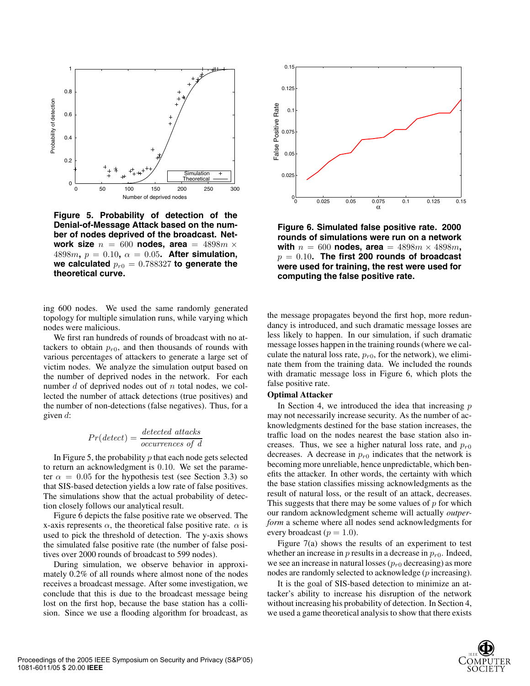

**Figure 5. Probability of detection of the Denial-of-Message Attack based on the number of nodes deprived of the broadcast. Network size**  $n = 600$  **nodes, area** =  $4898m \times$ 4898 $m, p = 0.10, \alpha = 0.05$ . After simulation, we calculated  $p_{r0} = 0.788327$  to generate the **theoretical curve.**

ing 600 nodes. We used the same randomly generated topology for multiple simulation runs, while varying which nodes were malicious.

We first ran hundreds of rounds of broadcast with no attackers to obtain  $p_{r0}$ , and then thousands of rounds with various percentages of attackers to generate a large set of victim nodes. We analyze the simulation output based on the number of deprived nodes in the network. For each number  $d$  of deprived nodes out of  $n$  total nodes, we collected the number of attack detections (true positives) and the number of non-detections (false negatives). Thus, for a given  $d$ :

$$
Pr(detect) = \frac{detected \; attacks}{occurrences \; of \; d}
$$

In Figure 5, the probability  $p$  that each node gets selected to return an acknowledgment is 0.10. We set the parameter  $\alpha = 0.05$  for the hypothesis test (see Section 3.3) so that SIS-based detection yields a low rate of false positives. The simulations show that the actual probability of detection closely follows our analytical result.

Figure 6 depicts the false positive rate we observed. The x-axis represents  $\alpha$ , the theoretical false positive rate.  $\alpha$  is used to pick the threshold of detection. The y-axis shows the simulated false positive rate (the number of false positives over 2000 rounds of broadcast to 599 nodes).

During simulation, we observe behavior in approximately 0.2% of all rounds where almost none of the nodes receives a broadcast message. After some investigation, we conclude that this is due to the broadcast message being lost on the first hop, because the base station has a collision. Since we use a flooding algorithm for broadcast, as



**Figure 6. Simulated false positive rate. 2000 rounds of simulations were run on a network with**  $n = 600$  **nodes, area** =  $4898m \times 4898m$ ,  $p = 0.10$ . The first 200 rounds of broadcast **were used for training, the rest were used for computing the false positive rate.**

the message propagates beyond the first hop, more redundancy is introduced, and such dramatic message losses are less likely to happen. In our simulation, if such dramatic message losses happen in the training rounds (where we calculate the natural loss rate,  $p_{r0}$ , for the network), we eliminate them from the training data. We included the rounds with dramatic message loss in Figure 6, which plots the false positive rate.

#### **Optimal Attacker**

In Section 4, we introduced the idea that increasing  $p$ may not necessarily increase security. As the number of acknowledgments destined for the base station increases, the traffic load on the nodes nearest the base station also increases. Thus, we see a higher natural loss rate, and  $p_{r0}$ decreases. A decrease in  $p_{r0}$  indicates that the network is becoming more unreliable, hence unpredictable, which benefits the attacker. In other words, the certainty with which the base station classifies missing acknowledgments as the result of natural loss, or the result of an attack, decreases. This suggests that there may be some values of  $p$  for which our random acknowledgment scheme will actually *outperform* a scheme where all nodes send acknowledgments for every broadcast ( $p = 1.0$ ).

Figure 7(a) shows the results of an experiment to test whether an increase in  $p$  results in a decrease in  $p_{r0}$ . Indeed, we see an increase in natural losses  $(p_{r0}$  decreasing) as more nodes are randomly selected to acknowledge (p increasing).

It is the goal of SIS-based detection to minimize an attacker's ability to increase his disruption of the network without increasing his probability of detection. In Section 4, we used a game theoretical analysis to show that there exists

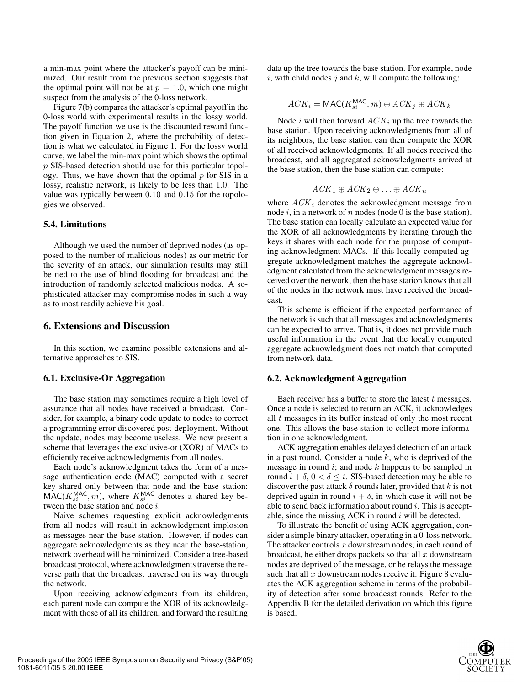a min-max point where the attacker's payoff can be minimized. Our result from the previous section suggests that the optimal point will not be at  $p = 1.0$ , which one might suspect from the analysis of the 0-loss network.

Figure 7(b) compares the attacker's optimal payoff in the 0-loss world with experimental results in the lossy world. The payoff function we use is the discounted reward function given in Equation 2, where the probability of detection is what we calculated in Figure 1. For the lossy world curve, we label the min-max point which shows the optimal p SIS-based detection should use for this particular topology. Thus, we have shown that the optimal  $p$  for SIS in a lossy, realistic network, is likely to be less than 1.0. The value was typically between 0.10 and 0.15 for the topologies we observed.

#### **5.4. Limitations**

Although we used the number of deprived nodes (as opposed to the number of malicious nodes) as our metric for the severity of an attack, our simulation results may still be tied to the use of blind flooding for broadcast and the introduction of randomly selected malicious nodes. A sophisticated attacker may compromise nodes in such a way as to most readily achieve his goal.

#### **6. Extensions and Discussion**

In this section, we examine possible extensions and alternative approaches to SIS.

## **6.1. Exclusive-Or Aggregation**

The base station may sometimes require a high level of assurance that all nodes have received a broadcast. Consider, for example, a binary code update to nodes to correct a programming error discovered post-deployment. Without the update, nodes may become useless. We now present a scheme that leverages the exclusive-or (XOR) of MACs to efficiently receive acknowledgments from all nodes.

Each node's acknowledgment takes the form of a message authentication code (MAC) computed with a secret key shared only between that node and the base station:  $\overline{MAC}(K_{si}^{MAC}, m)$ , where  $K_{si}^{MAC}$  denotes a shared key be-<br>tween the base station and node *i* tween the base station and node i.

Naive schemes requesting explicit acknowledgments from all nodes will result in acknowledgment implosion as messages near the base station. However, if nodes can aggregate acknowledgments as they near the base-station, network overhead will be minimized. Consider a tree-based broadcast protocol, where acknowledgments traverse the reverse path that the broadcast traversed on its way through the network.

Upon receiving acknowledgments from its children, each parent node can compute the XOR of its acknowledgment with those of all its children, and forward the resulting data up the tree towards the base station. For example, node i, with child nodes j and  $k$ , will compute the following:

$$
ACK_i = \text{MAC}(K_{si}^{\text{MAC}}, m) \oplus ACK_j \oplus ACK_k
$$

Node i will then forward  $ACK_i$  up the tree towards the base station. Upon receiving acknowledgments from all of its neighbors, the base station can then compute the XOR of all received acknowledgments. If all nodes received the broadcast, and all aggregated acknowledgments arrived at the base station, then the base station can compute:

$$
ACK_1 \oplus ACK_2 \oplus \ldots \oplus ACK_n
$$

where  $ACK_i$  denotes the acknowledgment message from node i, in a network of n nodes (node 0 is the base station). The base station can locally calculate an expected value for the XOR of all acknowledgments by iterating through the keys it shares with each node for the purpose of computing acknowledgment MACs. If this locally computed aggregate acknowledgment matches the aggregate acknowledgment calculated from the acknowledgment messages received over the network, then the base station knows that all of the nodes in the network must have received the broadcast.

This scheme is efficient if the expected performance of the network is such that all messages and acknowledgments can be expected to arrive. That is, it does not provide much useful information in the event that the locally computed aggregate acknowledgment does not match that computed from network data.

#### **6.2. Acknowledgment Aggregation**

Each receiver has a buffer to store the latest  $t$  messages. Once a node is selected to return an ACK, it acknowledges all  $t$  messages in its buffer instead of only the most recent one. This allows the base station to collect more information in one acknowledgment.

ACK aggregation enables delayed detection of an attack in a past round. Consider a node  $k$ , who is deprived of the message in round  $i$ ; and node  $k$  happens to be sampled in round  $i + \delta$ ,  $0 < \delta \le t$ . SIS-based detection may be able to discover the past attack  $\delta$  rounds later, provided that k is not deprived again in round  $i + \delta$ , in which case it will not be able to send back information about round  $i$ . This is acceptable, since the missing ACK in round  $i$  will be detected.

To illustrate the benefit of using ACK aggregation, consider a simple binary attacker, operating in a 0-loss network. The attacker controls  $x$  downstream nodes; in each round of broadcast, he either drops packets so that all  $x$  downstream nodes are deprived of the message, or he relays the message such that all  $x$  downstream nodes receive it. Figure 8 evaluates the ACK aggregation scheme in terms of the probability of detection after some broadcast rounds. Refer to the Appendix B for the detailed derivation on which this figure is based.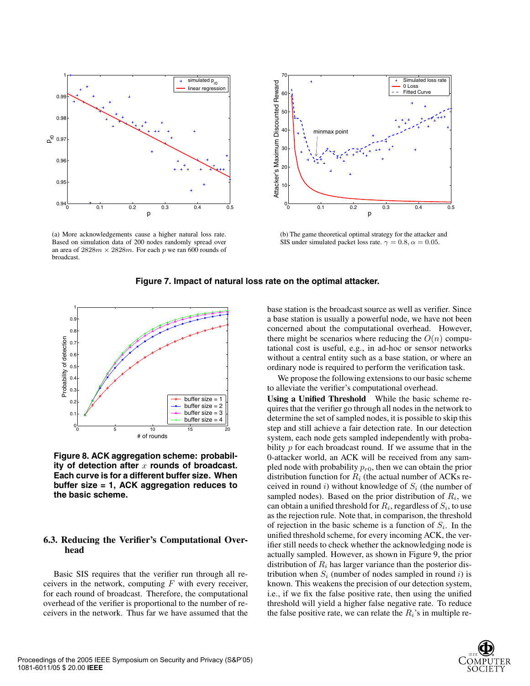

(a) More acknowledgements cause a higher natural loss rate. Based on simulation data of 200 nodes randomly spread over an area of  $2828m \times 2828m$ . For each p we ran 600 rounds of broadcast.



(b) The game theoretical optimal strategy for the attacker and SIS under simulated packet loss rate.  $\gamma = 0.8$ ,  $\alpha = 0.05$ .



**Figure 7. Impact of natural loss rate on the optimal attacker.**

**Figure 8. ACK aggregation scheme: probabil**ity of detection after x rounds of broadcast. **Each curve is for a different buffer size. When buffer size = 1, ACK aggregation reduces to the basic scheme.**

## **6.3. Reducing the Verifier's Computational Overhead**

Basic SIS requires that the verifier run through all receivers in the network, computing  $F$  with every receiver, for each round of broadcast. Therefore, the computational overhead of the verifier is proportional to the number of receivers in the network. Thus far we have assumed that the base station is the broadcast source as well as verifier. Since a base station is usually a powerful node, we have not been concerned about the computational overhead. However, there might be scenarios where reducing the  $O(n)$  computational cost is useful, e.g., in ad-hoc or sensor networks without a central entity such as a base station, or where an ordinary node is required to perform the verification task.

We propose the following extensions to our basic scheme to alleviate the verifier's computational overhead.

**Using a Unified Threshold** While the basic scheme requires that the verifier go through all nodes in the network to determine the set of sampled nodes, it is possible to skip this step and still achieve a fair detection rate. In our detection system, each node gets sampled independently with probability  $p$  for each broadcast round. If we assume that in the 0-attacker world, an ACK will be received from any sampled node with probability  $p_{r0}$ , then we can obtain the prior distribution function for  $R_i$  (the actual number of ACKs received in round i) without knowledge of  $S_i$  (the number of sampled nodes). Based on the prior distribution of  $R_i$ , we can obtain a unified threshold for  $R_i$ , regardless of  $S_i$ , to use as the rejection rule. Note that, in comparison, the threshold of rejection in the basic scheme is a function of  $S_i$ . In the unified threshold scheme, for every incoming ACK, the verifier still needs to check whether the acknowledging node is actually sampled. However, as shown in Figure 9, the prior distribution of  $R_i$  has larger variance than the posterior distribution when  $S_i$  (number of nodes sampled in round i) is known. This weakens the precision of our detection system, i.e., if we fix the false positive rate, then using the unified threshold will yield a higher false negative rate. To reduce the false positive rate, we can relate the  $R_i$ 's in multiple re-

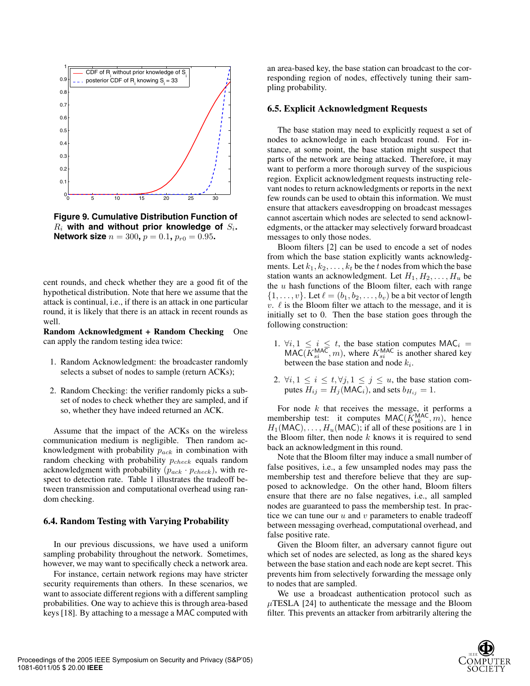

**Figure 9. Cumulative Distribution Function of**  $R_i$  with and without prior knowledge of  $S_i$ . **Network size**  $n = 300$ ,  $p = 0.1$ ,  $p_{r0} = 0.95$ .

cent rounds, and check whether they are a good fit of the hypothetical distribution. Note that here we assume that the attack is continual, i.e., if there is an attack in one particular round, it is likely that there is an attack in recent rounds as well.

**Random Acknowledgment + Random Checking** One can apply the random testing idea twice:

- 1. Random Acknowledgment: the broadcaster randomly selects a subset of nodes to sample (return ACKs);
- 2. Random Checking: the verifier randomly picks a subset of nodes to check whether they are sampled, and if so, whether they have indeed returned an ACK.

Assume that the impact of the ACKs on the wireless communication medium is negligible. Then random acknowledgment with probability  $p_{ack}$  in combination with random checking with probability  $p_{check}$  equals random acknowledgment with probability  $(p_{ack} \cdot p_{check})$ , with respect to detection rate. Table 1 illustrates the tradeoff between transmission and computational overhead using random checking.

#### **6.4. Random Testing with Varying Probability**

In our previous discussions, we have used a uniform sampling probability throughout the network. Sometimes, however, we may want to specifically check a network area.

For instance, certain network regions may have stricter security requirements than others. In these scenarios, we want to associate different regions with a different sampling probabilities. One way to achieve this is through area-based keys [18]. By attaching to a message a MAC computed with an area-based key, the base station can broadcast to the corresponding region of nodes, effectively tuning their sampling probability.

#### **6.5. Explicit Acknowledgment Requests**

The base station may need to explicitly request a set of nodes to acknowledge in each broadcast round. For instance, at some point, the base station might suspect that parts of the network are being attacked. Therefore, it may want to perform a more thorough survey of the suspicious region. Explicit acknowledgment requests instructing relevant nodes to return acknowledgments or reports in the next few rounds can be used to obtain this information. We must ensure that attackers eavesdropping on broadcast messages cannot ascertain which nodes are selected to send acknowledgments, or the attacker may selectively forward broadcast messages to only those nodes.

Bloom filters [2] can be used to encode a set of nodes from which the base station explicitly wants acknowledgments. Let  $k_1, k_2, \ldots, k_t$  be the t nodes from which the base station wants an acknowledgment. Let  $H_1, H_2, \ldots, H_u$  be the  $u$  hash functions of the Bloom filter, each with range  $\{1,\ldots,v\}$ . Let  $\ell = (b_1, b_2, \ldots, b_v)$  be a bit vector of length  $v. \ell$  is the Bloom filter we attach to the message, and it is initially set to 0. Then the base station goes through the following construction:

- 1.  $\forall i, 1 \leq i \leq t$ , the base station computes  $MAC_i = MAC(KMAC_m)$  where  $K^{MAC}$  is another shared key  $MAC(\overline{K}_{si}^{MAC}, m)$ , where  $K_{si}^{MAC}$  is another shared key<br>between the base station and node k between the base station and node  $k_i$ .
- 2.  $\forall i, 1 \leq i \leq t, \forall j, 1 \leq j \leq u$ , the base station computes  $H_{ij} = H_j(MAC_i)$ , and sets  $b_{H_{ij}} = 1$ .

For node  $k$  that receives the message, it performs a membership test: it computes  $MAC(\overline{K}_{sk}^{MAC}, m)$ , hence  $H_1(MAC)$  if all of these positions are 1 in  $H_1(MAC), \ldots, H_u(MAC)$ ; if all of these positions are 1 in the Bloom filter, then node  $k$  knows it is required to send back an acknowledgment in this round.

Note that the Bloom filter may induce a small number of false positives, i.e., a few unsampled nodes may pass the membership test and therefore believe that they are supposed to acknowledge. On the other hand, Bloom filters ensure that there are no false negatives, i.e., all sampled nodes are guaranteed to pass the membership test. In practice we can tune our  $u$  and  $v$  parameters to enable tradeoff between messaging overhead, computational overhead, and false positive rate.

Given the Bloom filter, an adversary cannot figure out which set of nodes are selected, as long as the shared keys between the base station and each node are kept secret. This prevents him from selectively forwarding the message only to nodes that are sampled.

We use a broadcast authentication protocol such as  $\mu$ TESLA [24] to authenticate the message and the Bloom filter. This prevents an attacker from arbitrarily altering the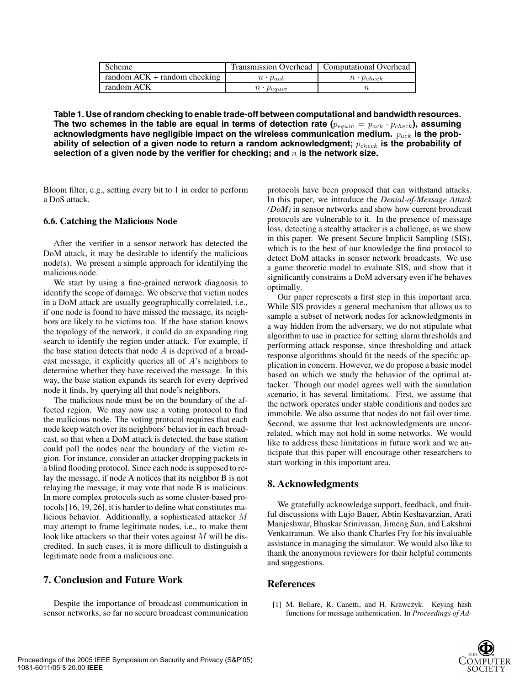| Scheme                           |                     | Transmission Overhead   Computational Overhead |
|----------------------------------|---------------------|------------------------------------------------|
| $r$ random ACK + random checking | $n \cdot p_{ack}$   | $n \cdot p_{check}$                            |
| random ACK                       | $n \cdot p_{equiv}$ |                                                |

**Table 1. Use of random checking to enable trade-off between computational and bandwidth resources.** The two schemes in the table are equal in terms of detection rate  $(p_{equiv} = p_{ack} \cdot p_{checkk})$ , assuming acknowledgments have negligible impact on the wireless communication medium.  $p_{ack}$  is the probability of selection of a given node to return a random acknowledgment;  $p_{check}$  is the probability of selection of a given node by the verifier for checking; and  $n$  is the network size.

Bloom filter, e.g., setting every bit to 1 in order to perform a DoS attack.

#### **6.6. Catching the Malicious Node**

After the verifier in a sensor network has detected the DoM attack, it may be desirable to identify the malicious  $node(s)$ . We present a simple approach for identifying the malicious node.

We start by using a fine-grained network diagnosis to identify the scope of damage. We observe that victim nodes in a DoM attack are usually geographically correlated, i.e., if one node is found to have missed the message, its neighbors are likely to be victims too. If the base station knows the topology of the network, it could do an expanding ring search to identify the region under attack. For example, if the base station detects that node  $A$  is deprived of a broadcast message, it explicitly queries all of A's neighbors to determine whether they have received the message. In this way, the base station expands its search for every deprived node it finds, by querying all that node's neighbors.

The malicious node must be on the boundary of the affected region. We may now use a voting protocol to find the malicious node. The voting protocol requires that each node keep watch over its neighbors' behavior in each broadcast, so that when a DoM attack is detected, the base station could poll the nodes near the boundary of the victim region. For instance, consider an attacker dropping packets in a blind flooding protocol. Since each node is supposed to relay the message, if node A notices that its neighbor B is not relaying the message, it may vote that node B is malicious. In more complex protocols such as some cluster-based protocols [16, 19, 26], it is harder to define what constitutes malicious behavior. Additionally, a sophisticated attacker M may attempt to frame legitimate nodes, i.e., to make them look like attackers so that their votes against  $M$  will be discredited. In such cases, it is more difficult to distinguish a legitimate node from a malicious one.

## **7. Conclusion and Future Work**

Despite the importance of broadcast communication in sensor networks, so far no secure broadcast communication protocols have been proposed that can withstand attacks. In this paper, we introduce the *Denial-of-Message Attack (DoM)* in sensor networks and show how current broadcast protocols are vulnerable to it. In the presence of message loss, detecting a stealthy attacker is a challenge, as we show in this paper. We present Secure Implicit Sampling (SIS), which is to the best of our knowledge the first protocol to detect DoM attacks in sensor network broadcasts. We use a game theoretic model to evaluate SIS, and show that it significantly constrains a DoM adversary even if he behaves optimally.

Our paper represents a first step in this important area. While SIS provides a general mechanism that allows us to sample a subset of network nodes for acknowledgments in a way hidden from the adversary, we do not stipulate what algorithm to use in practice for setting alarm thresholds and performing attack response, since thresholding and attack response algorithms should fit the needs of the specific application in concern. However, we do propose a basic model based on which we study the behavior of the optimal attacker. Though our model agrees well with the simulation scenario, it has several limitations. First, we assume that the network operates under stable conditions and nodes are immobile. We also assume that nodes do not fail over time. Second, we assume that lost acknowledgments are uncorrelated, which may not hold in some networks. We would like to address these limitations in future work and we anticipate that this paper will encourage other researchers to start working in this important area.

# **8. Acknowledgments**

We gratefully acknowledge support, feedback, and fruitful discussions with Lujo Bauer, Abtin Keshavarzian, Arati Manjeshwar, Bhaskar Srinivasan, Jimeng Sun, and Lakshmi Venkatraman. We also thank Charles Fry for his invaluable assistance in managing the simulator. We would also like to thank the anonymous reviewers for their helpful comments and suggestions.

## **References**

[1] M. Bellare, R. Canetti, and H. Krawczyk. Keying hash functions for message authentication. In *Proceedings of Ad-*

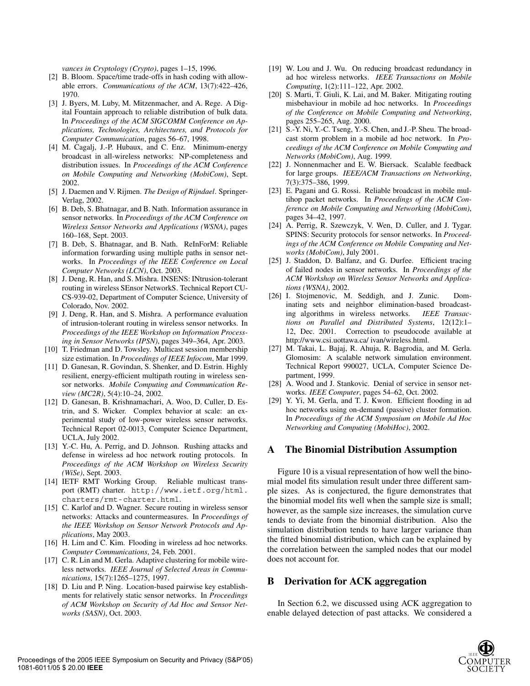*vances in Cryptology (Crypto)*, pages 1–15, 1996.

- [2] B. Bloom. Space/time trade-offs in hash coding with allowable errors. *Communications of the ACM*, 13(7):422–426, 1970.
- [3] J. Byers, M. Luby, M. Mitzenmacher, and A. Rege. A Digital Fountain approach to reliable distribution of bulk data. In *Proceedings of the ACM SIGCOMM Conference on Applications, Technologies, Architectures, and Protocols for Computer Communication*, pages 56–67, 1998.
- [4] M. Cagalj, J.-P. Hubaux, and C. Enz. Minimum-energy broadcast in all-wireless networks: NP-completeness and distribution issues. In *Proceedings of the ACM Conference on Mobile Computing and Networking (MobiCom)*, Sept. 2002.
- [5] J. Daemen and V. Rijmen. *The Design of Rijndael*. Springer-Verlag, 2002.
- [6] B. Deb, S. Bhatnagar, and B. Nath. Information assurance in sensor networks. In *Proceedings of the ACM Conference on Wireless Sensor Networks and Applications (WSNA)*, pages 160–168, Sept. 2003.
- [7] B. Deb, S. Bhatnagar, and B. Nath. ReInForM: Reliable information forwarding using multiple paths in sensor networks. In *Proceedings of the IEEE Conference on Local Computer Networks (LCN)*, Oct. 2003.
- [8] J. Deng, R. Han, and S. Mishra. INSENS: INtrusion-tolerant routing in wireless SEnsor NetworkS. Technical Report CU-CS-939-02, Department of Computer Science, University of Colorado, Nov. 2002.
- [9] J. Deng, R. Han, and S. Mishra. A performance evaluation of intrusion-tolerant routing in wireless sensor networks. In *Proceedings of the IEEE Workshop on Information Processing in Sensor Networks (IPSN)*, pages 349–364, Apr. 2003.
- [10] T. Friedman and D. Towsley. Multicast session membership size estimation. In *Proceedings of IEEE Infocom*, Mar 1999.
- [11] D. Ganesan, R. Govindan, S. Shenker, and D. Estrin. Highly resilient, energy-efficient multipath routing in wireless sensor networks. *Mobile Computing and Communication Review (MC2R)*, 5(4):10–24, 2002.
- [12] D. Ganesan, B. Krishnamachari, A. Woo, D. Culler, D. Estrin, and S. Wicker. Complex behavior at scale: an experimental study of low-power wireless sensor networks. Technical Report 02-0013, Computer Science Department, UCLA, July 2002.
- [13] Y.-C. Hu, A. Perrig, and D. Johnson. Rushing attacks and defense in wireless ad hoc network routing protocols. In *Proceedings of the ACM Workshop on Wireless Security (WiSe)*, Sept. 2003.
- [14] IETF RMT Working Group. Reliable multicast transport (RMT) charter. http://www.ietf.org/html. charters/rmt-charter.html.
- [15] C. Karlof and D. Wagner. Secure routing in wireless sensor networks: Attacks and countermeasures. In *Proceedings of the IEEE Workshop on Sensor Network Protocols and Applications*, May 2003.
- [16] H. Lim and C. Kim. Flooding in wireless ad hoc networks. *Computer Communications*, 24, Feb. 2001.
- [17] C. R. Lin and M. Gerla. Adaptive clustering for mobile wireless networks. *IEEE Journal of Selected Areas in Communications*, 15(7):1265–1275, 1997.
- [18] D. Liu and P. Ning. Location-based pairwise key establishments for relatively static sensor networks. In *Proceedings of ACM Workshop on Security of Ad Hoc and Sensor Networks (SASN)*, Oct. 2003.
- [19] W. Lou and J. Wu. On reducing broadcast redundancy in ad hoc wireless networks. *IEEE Transactions on Mobile Computing*, 1(2):111–122, Apr. 2002.
- [20] S. Marti, T. Giuli, K. Lai, and M. Baker. Mitigating routing misbehaviour in mobile ad hoc networks. In *Proceedings of the Conference on Mobile Computing and Networking*, pages 255–265, Aug. 2000.
- [21] S.-Y. Ni, Y.-C. Tseng, Y.-S. Chen, and J.-P. Sheu. The broadcast storm problem in a mobile ad hoc network. In *Proceedings of the ACM Conference on Mobile Computing and Networks (MobiCom)*, Aug. 1999.
- [22] J. Nonnenmacher and E. W. Biersack. Scalable feedback for large groups. *IEEE/ACM Transactions on Networking*, 7(3):375–386, 1999.
- [23] E. Pagani and G. Rossi. Reliable broadcast in mobile multihop packet networks. In *Proceedings of the ACM Conference on Mobile Computing and Networking (MobiCom)*, pages 34–42, 1997.
- [24] A. Perrig, R. Szewczyk, V. Wen, D. Culler, and J. Tygar. SPINS: Security protocols for sensor networks. In *Proceedings of the ACM Conference on Mobile Computing and Networks (MobiCom)*, July 2001.
- [25] J. Staddon, D. Balfanz, and G. Durfee. Efficient tracing of failed nodes in sensor networks. In *Proceedings of the ACM Workshop on Wireless Sensor Networks and Applications (WSNA)*, 2002.
- [26] I. Stojmenovic, M. Seddigh, and J. Zunic. Dominating sets and neighbor elimination-based broadcasting algorithms in wireless networks. *IEEE Transactions on Parallel and Distributed Systems*, 12(12):1– 12, Dec. 2001. Correction to pseudocode available at http://www.csi.uottawa.ca/ ivan/wireless.html.
- [27] M. Takai, L. Bajaj, R. Ahuja, R. Bagrodia, and M. Gerla. Glomosim: A scalable network simulation environment. Technical Report 990027, UCLA, Computer Science Department, 1999.
- [28] A. Wood and J. Stankovic. Denial of service in sensor networks. *IEEE Computer*, pages 54–62, Oct. 2002.
- [29] Y. Yi, M. Gerla, and T. J. Kwon. Efficient flooding in ad hoc networks using on-demand (passive) cluster formation. In *Proceedings of the ACM Symposium on Mobile Ad Hoc Networking and Computing (MobiHoc)*, 2002.

#### **A The Binomial Distribution Assumption**

Figure 10 is a visual representation of how well the binomial model fits simulation result under three different sample sizes. As is conjectured, the figure demonstrates that the binomial model fits well when the sample size is small; however, as the sample size increases, the simulation curve tends to deviate from the binomial distribution. Also the simulation distribution tends to have larger variance than the fitted binomial distribution, which can be explained by the correlation between the sampled nodes that our model does not account for.

# **B Derivation for ACK aggregation**

In Section 6.2, we discussed using ACK aggregation to enable delayed detection of past attacks. We considered a